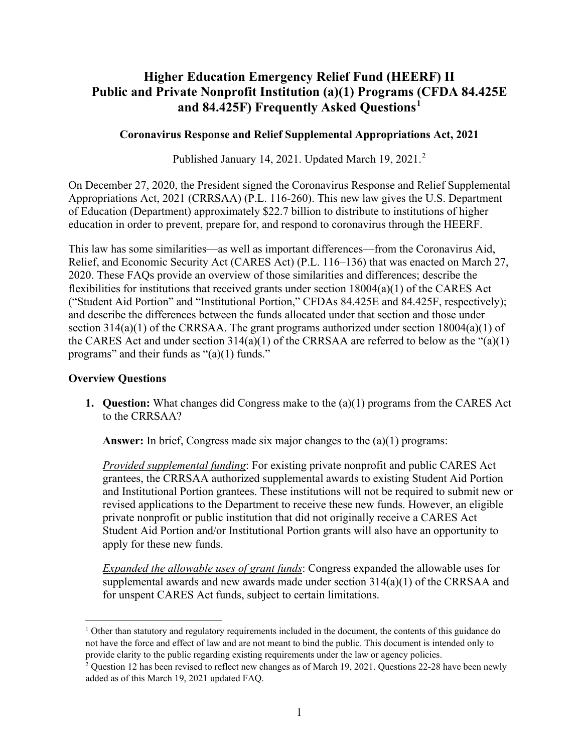# **Higher Education Emergency Relief Fund (HEERF) II Public and Private Nonprofit Institution (a)(1) Programs (CFDA 84.425E and 84.425F) Frequently Asked Questions[1](#page-0-0)**

## **Coronavirus Response and Relief Supplemental Appropriations Act, 2021**

Published January 14, [2](#page-0-1)021. Updated March 19, 2021.<sup>2</sup>

On December 27, 2020, the President signed the Coronavirus Response and Relief Supplemental Appropriations Act, 2021 (CRRSAA) (P.L. 116-260). This new law gives the U.S. Department of Education (Department) approximately \$22.7 billion to distribute to institutions of higher education in order to prevent, prepare for, and respond to coronavirus through the HEERF.

This law has some similarities—as well as important differences—from the Coronavirus Aid, Relief, and Economic Security Act (CARES Act) (P.L. 116–136) that was enacted on March 27, 2020. These FAQs provide an overview of those similarities and differences; describe the flexibilities for institutions that received grants under section 18004(a)(1) of the CARES Act ("Student Aid Portion" and "Institutional Portion," CFDAs 84.425E and 84.425F, respectively); and describe the differences between the funds allocated under that section and those under section  $314(a)(1)$  of the CRRSAA. The grant programs authorized under section  $18004(a)(1)$  of the CARES Act and under section  $314(a)(1)$  of the CRRSAA are referred to below as the " $(a)(1)$ programs" and their funds as "(a)(1) funds."

### **Overview Questions**

**1. Question:** What changes did Congress make to the (a)(1) programs from the CARES Act to the CRRSAA?

**Answer:** In brief, Congress made six major changes to the (a)(1) programs:

*Provided supplemental funding*: For existing private nonprofit and public CARES Act grantees, the CRRSAA authorized supplemental awards to existing Student Aid Portion and Institutional Portion grantees. These institutions will not be required to submit new or revised applications to the Department to receive these new funds. However, an eligible private nonprofit or public institution that did not originally receive a CARES Act Student Aid Portion and/or Institutional Portion grants will also have an opportunity to apply for these new funds.

*Expanded the allowable uses of grant funds*: Congress expanded the allowable uses for supplemental awards and new awards made under section 314(a)(1) of the CRRSAA and for unspent CARES Act funds, subject to certain limitations.

<span id="page-0-0"></span> $1$  Other than statutory and regulatory requirements included in the document, the contents of this guidance do not have the force and effect of law and are not meant to bind the public. This document is intended only to provide clarity to the public regarding existing requirements under the law or agency policies.

<span id="page-0-1"></span><sup>&</sup>lt;sup>2</sup> Question 12 has been revised to reflect new changes as of March 19, 2021. Questions 22-28 have been newly added as of this March 19, 2021 updated FAQ.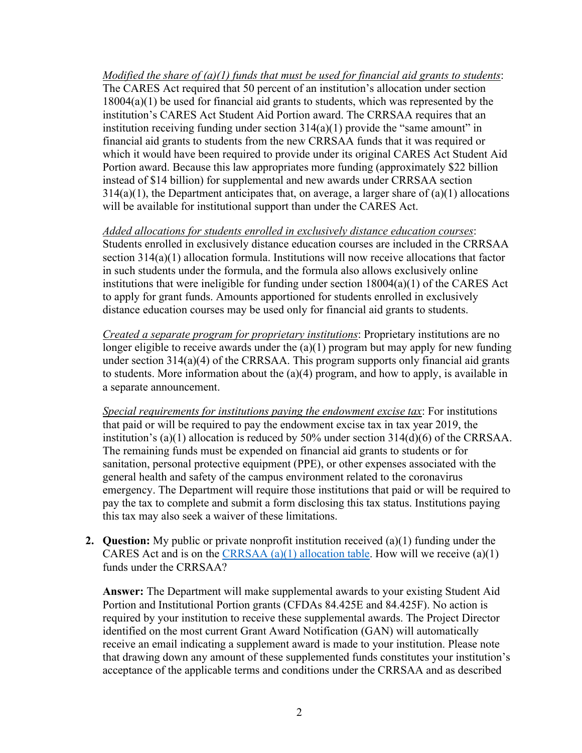*Modified the share of (a)(1) funds that must be used for financial aid grants to students*: The CARES Act required that 50 percent of an institution's allocation under section 18004(a)(1) be used for financial aid grants to students, which was represented by the institution's CARES Act Student Aid Portion award. The CRRSAA requires that an institution receiving funding under section  $314(a)(1)$  provide the "same amount" in financial aid grants to students from the new CRRSAA funds that it was required or which it would have been required to provide under its original CARES Act Student Aid Portion award. Because this law appropriates more funding (approximately \$22 billion instead of \$14 billion) for supplemental and new awards under CRRSAA section  $314(a)(1)$ , the Department anticipates that, on average, a larger share of  $(a)(1)$  allocations will be available for institutional support than under the CARES Act.

*Added allocations for students enrolled in exclusively distance education courses*: Students enrolled in exclusively distance education courses are included in the CRRSAA section 314(a)(1) allocation formula. Institutions will now receive allocations that factor in such students under the formula, and the formula also allows exclusively online institutions that were ineligible for funding under section 18004(a)(1) of the CARES Act to apply for grant funds. Amounts apportioned for students enrolled in exclusively distance education courses may be used only for financial aid grants to students.

*Created a separate program for proprietary institutions*: Proprietary institutions are no longer eligible to receive awards under the (a)(1) program but may apply for new funding under section 314(a)(4) of the CRRSAA. This program supports only financial aid grants to students. More information about the (a)(4) program, and how to apply, is available in a separate announcement.

*Special requirements for institutions paying the endowment excise tax*: For institutions that paid or will be required to pay the endowment excise tax in tax year 2019, the institution's (a)(1) allocation is reduced by 50% under section 314(d)(6) of the CRRSAA. The remaining funds must be expended on financial aid grants to students or for sanitation, personal protective equipment (PPE), or other expenses associated with the general health and safety of the campus environment related to the coronavirus emergency. The Department will require those institutions that paid or will be required to pay the tax to complete and submit a form disclosing this tax status. Institutions paying this tax may also seek a waiver of these limitations.

**2. Question:** My public or private nonprofit institution received (a)(1) funding under the CARES Act and is on the CRRSAA  $(a)(1)$  allocation table. How will we receive  $(a)(1)$ funds under the CRRSAA?

**Answer:** The Department will make supplemental awards to your existing Student Aid Portion and Institutional Portion grants (CFDAs 84.425E and 84.425F). No action is required by your institution to receive these supplemental awards. The Project Director identified on the most current Grant Award Notification (GAN) will automatically receive an email indicating a supplement award is made to your institution. Please note that drawing down any amount of these supplemented funds constitutes your institution's acceptance of the applicable terms and conditions under the CRRSAA and as described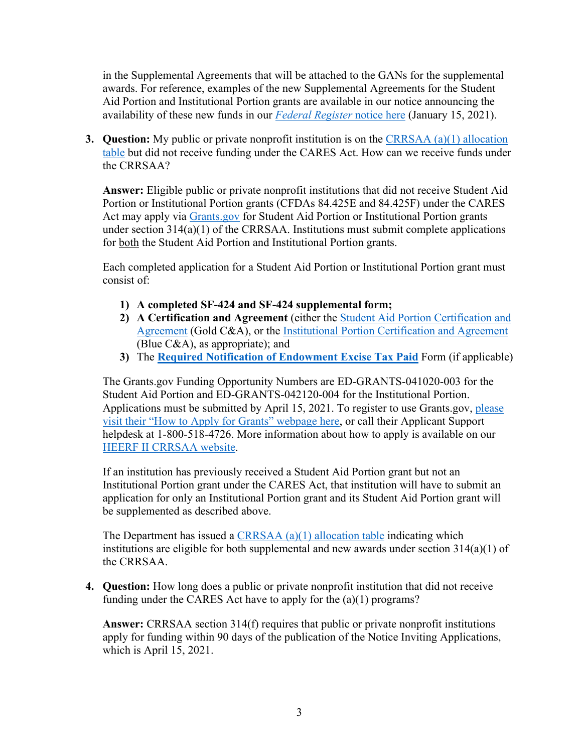in the Supplemental Agreements that will be attached to the GANs for the supplemental awards. For reference, examples of the new Supplemental Agreements for the Student Aid Portion and Institutional Portion grants are available in our notice announcing the availability of these new funds in our *[Federal Register](https://www.federalregister.gov/d/2021-00935)* notice here (January 15, 2021).

**3. Question:** My public or private nonprofit institution is on the [CRRSAA \(a\)\(1\) allocation](https://www2.ed.gov/about/offices/list/ope/314a1allocationtableheerfii.pdf)  [table](https://www2.ed.gov/about/offices/list/ope/314a1allocationtableheerfii.pdf) but did not receive funding under the CARES Act. How can we receive funds under the CRRSAA?

**Answer:** Eligible public or private nonprofit institutions that did not receive Student Aid Portion or Institutional Portion grants (CFDAs 84.425E and 84.425F) under the CARES Act may apply via [Grants.gov](https://www.grants.gov/) for Student Aid Portion or Institutional Portion grants under section 314(a)(1) of the CRRSAA. Institutions must submit complete applications for both the Student Aid Portion and Institutional Portion grants.

Each completed application for a Student Aid Portion or Institutional Portion grant must consist of:

- **1) A completed SF-424 and SF-424 supplemental form;**
- **2) A Certification and Agreement** (either the [Student Aid Portion Certification and](https://www2.ed.gov/about/offices/list/ope/goldcaheerfiistudent.pdf)  [Agreement](https://www2.ed.gov/about/offices/list/ope/goldcaheerfiistudent.pdf) (Gold C&A), or the [Institutional Portion Certification and Agreement](https://www2.ed.gov/about/offices/list/ope/bluecaheerfiiinstitution.pdf) (Blue C&A), as appropriate); and
- **3)** The **[Required Notification of Endowment Excise Tax Paid](https://www2.ed.gov/about/offices/list/ope/heerfiitexcisetaxform.pdf)** Form (if applicable)

The Grants.gov Funding Opportunity Numbers are ED-GRANTS-041020-003 for the Student Aid Portion and ED-GRANTS-042120-004 for the Institutional Portion. Applications must be submitted by April 15, 2021. To register to use Grants.gov, please [visit their "How to Apply for Grants" webpage here,](https://www.grants.gov/web/grants/applicants/apply-for-grants.html) or call their Applicant Support helpdesk at 1-800-518-4726. More information about how to apply is available on our [HEERF II](https://www2.ed.gov/about/offices/list/ope/crrsaa.html) CRRSAA website.

If an institution has previously received a Student Aid Portion grant but not an Institutional Portion grant under the CARES Act, that institution will have to submit an application for only an Institutional Portion grant and its Student Aid Portion grant will be supplemented as described above.

The Department has issued a [CRRSAA \(a\)\(1\) allocation table](https://www2.ed.gov/about/offices/list/ope/314a1allocationtableheerfii.pdf) indicating which institutions are eligible for both supplemental and new awards under section 314(a)(1) of the CRRSAA.

**4. Question:** How long does a public or private nonprofit institution that did not receive funding under the CARES Act have to apply for the (a)(1) programs?

**Answer:** CRRSAA section 314(f) requires that public or private nonprofit institutions apply for funding within 90 days of the publication of the Notice Inviting Applications, which is April 15, 2021.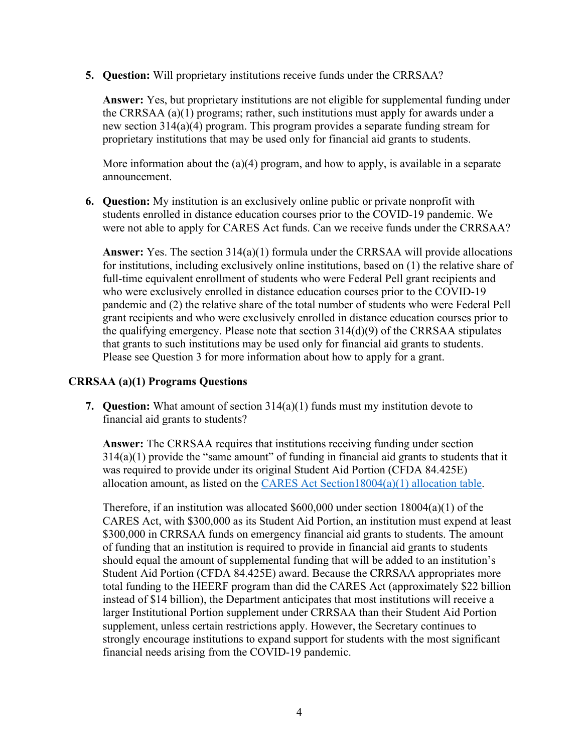**5. Question:** Will proprietary institutions receive funds under the CRRSAA?

**Answer:** Yes, but proprietary institutions are not eligible for supplemental funding under the CRRSAA (a)(1) programs; rather, such institutions must apply for awards under a new section 314(a)(4) program. This program provides a separate funding stream for proprietary institutions that may be used only for financial aid grants to students.

More information about the (a)(4) program, and how to apply, is available in a separate announcement.

**6. Question:** My institution is an exclusively online public or private nonprofit with students enrolled in distance education courses prior to the COVID-19 pandemic. We were not able to apply for CARES Act funds. Can we receive funds under the CRRSAA?

**Answer:** Yes. The section 314(a)(1) formula under the CRRSAA will provide allocations for institutions, including exclusively online institutions, based on (1) the relative share of full-time equivalent enrollment of students who were Federal Pell grant recipients and who were exclusively enrolled in distance education courses prior to the COVID-19 pandemic and (2) the relative share of the total number of students who were Federal Pell grant recipients and who were exclusively enrolled in distance education courses prior to the qualifying emergency. Please note that section 314(d)(9) of the CRRSAA stipulates that grants to such institutions may be used only for financial aid grants to students. Please see Question 3 for more information about how to apply for a grant.

## **CRRSAA (a)(1) Programs Questions**

**7. Question:** What amount of section 314(a)(1) funds must my institution devote to financial aid grants to students?

**Answer:** The CRRSAA requires that institutions receiving funding under section  $314(a)(1)$  provide the "same amount" of funding in financial aid grants to students that it was required to provide under its original Student Aid Portion (CFDA 84.425E) allocation amount, as listed on the [CARES Act Section18004\(a\)\(1\) allocation table.](https://www2.ed.gov/about/offices/list/ope/allocationsforsection18004a1ofcaresact.pdf)

Therefore, if an institution was allocated  $$600,000$  under section  $18004(a)(1)$  of the CARES Act, with \$300,000 as its Student Aid Portion, an institution must expend at least \$300,000 in CRRSAA funds on emergency financial aid grants to students. The amount of funding that an institution is required to provide in financial aid grants to students should equal the amount of supplemental funding that will be added to an institution's Student Aid Portion (CFDA 84.425E) award. Because the CRRSAA appropriates more total funding to the HEERF program than did the CARES Act (approximately \$22 billion instead of \$14 billion), the Department anticipates that most institutions will receive a larger Institutional Portion supplement under CRRSAA than their Student Aid Portion supplement, unless certain restrictions apply. However, the Secretary continues to strongly encourage institutions to expand support for students with the most significant financial needs arising from the COVID-19 pandemic.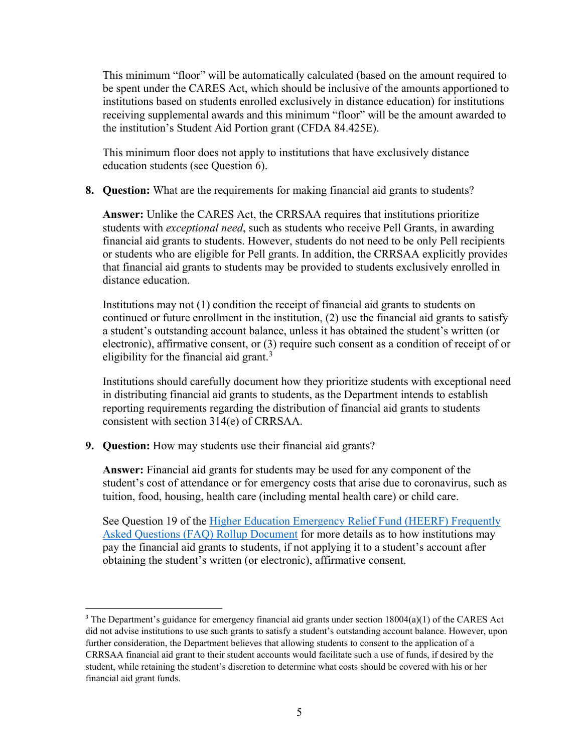This minimum "floor" will be automatically calculated (based on the amount required to be spent under the CARES Act, which should be inclusive of the amounts apportioned to institutions based on students enrolled exclusively in distance education) for institutions receiving supplemental awards and this minimum "floor" will be the amount awarded to the institution's Student Aid Portion grant (CFDA 84.425E).

This minimum floor does not apply to institutions that have exclusively distance education students (see Question 6).

**8. Question:** What are the requirements for making financial aid grants to students?

**Answer:** Unlike the CARES Act, the CRRSAA requires that institutions prioritize students with *exceptional need*, such as students who receive Pell Grants, in awarding financial aid grants to students. However, students do not need to be only Pell recipients or students who are eligible for Pell grants. In addition, the CRRSAA explicitly provides that financial aid grants to students may be provided to students exclusively enrolled in distance education.

Institutions may not (1) condition the receipt of financial aid grants to students on continued or future enrollment in the institution, (2) use the financial aid grants to satisfy a student's outstanding account balance, unless it has obtained the student's written (or electronic), affirmative consent, or (3) require such consent as a condition of receipt of or eligibility for the financial aid grant.<sup>[3](#page-4-0)</sup>

Institutions should carefully document how they prioritize students with exceptional need in distributing financial aid grants to students, as the Department intends to establish reporting requirements regarding the distribution of financial aid grants to students consistent with section 314(e) of CRRSAA.

**9. Question:** How may students use their financial aid grants?

**Answer:** Financial aid grants for students may be used for any component of the student's cost of attendance or for emergency costs that arise due to coronavirus, such as tuition, food, housing, health care (including mental health care) or child care.

See Question 19 of the Higher Education Emergency Relief Fund (HEERF) Frequently [Asked Questions \(FAQ\) Rollup Document](https://www2.ed.gov/about/offices/list/ope/heerffaqsoct2020rollup.pdf) for more details as to how institutions may pay the financial aid grants to students, if not applying it to a student's account after obtaining the student's written (or electronic), affirmative consent.

<span id="page-4-0"></span><sup>&</sup>lt;sup>3</sup> The Department's guidance for emergency financial aid grants under section  $18004(a)(1)$  of the CARES Act did not advise institutions to use such grants to satisfy a student's outstanding account balance. However, upon further consideration, the Department believes that allowing students to consent to the application of a CRRSAA financial aid grant to their student accounts would facilitate such a use of funds, if desired by the student, while retaining the student's discretion to determine what costs should be covered with his or her financial aid grant funds.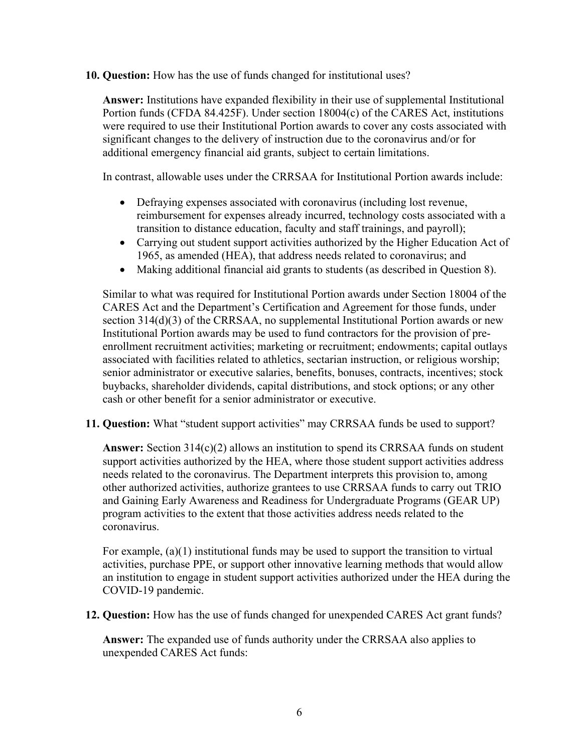**10. Question:** How has the use of funds changed for institutional uses?

**Answer:** Institutions have expanded flexibility in their use of supplemental Institutional Portion funds (CFDA 84.425F). Under section 18004(c) of the CARES Act, institutions were required to use their Institutional Portion awards to cover any costs associated with significant changes to the delivery of instruction due to the coronavirus and/or for additional emergency financial aid grants, subject to certain limitations.

In contrast, allowable uses under the CRRSAA for Institutional Portion awards include:

- Defraying expenses associated with coronavirus (including lost revenue, reimbursement for expenses already incurred, technology costs associated with a transition to distance education, faculty and staff trainings, and payroll);
- Carrying out student support activities authorized by the Higher Education Act of 1965, as amended (HEA), that address needs related to coronavirus; and
- Making additional financial aid grants to students (as described in Question 8).

Similar to what was required for Institutional Portion awards under Section 18004 of the CARES Act and the Department's Certification and Agreement for those funds, under section 314(d)(3) of the CRRSAA, no supplemental Institutional Portion awards or new Institutional Portion awards may be used to fund contractors for the provision of preenrollment recruitment activities; marketing or recruitment; endowments; capital outlays associated with facilities related to athletics, sectarian instruction, or religious worship; senior administrator or executive salaries, benefits, bonuses, contracts, incentives; stock buybacks, shareholder dividends, capital distributions, and stock options; or any other cash or other benefit for a senior administrator or executive.

**11. Question:** What "student support activities" may CRRSAA funds be used to support?

**Answer:** Section 314(c)(2) allows an institution to spend its CRRSAA funds on student support activities authorized by the HEA, where those student support activities address needs related to the coronavirus. The Department interprets this provision to, among other authorized activities, authorize grantees to use CRRSAA funds to carry out TRIO and Gaining Early Awareness and Readiness for Undergraduate Programs (GEAR UP) program activities to the extent that those activities address needs related to the coronavirus.

For example, (a)(1) institutional funds may be used to support the transition to virtual activities, purchase PPE, or support other innovative learning methods that would allow an institution to engage in student support activities authorized under the HEA during the COVID-19 pandemic.

**12. Question:** How has the use of funds changed for unexpended CARES Act grant funds?

**Answer:** The expanded use of funds authority under the CRRSAA also applies to unexpended CARES Act funds: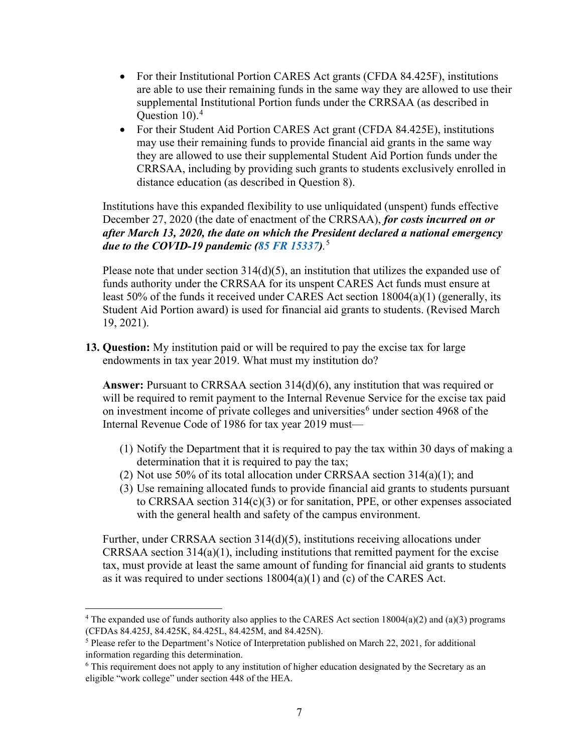- For their Institutional Portion CARES Act grants (CFDA 84.425F), institutions are able to use their remaining funds in the same way they are allowed to use their supplemental Institutional Portion funds under the CRRSAA (as described in Question 10). [4](#page-6-0)
- For their Student Aid Portion CARES Act grant (CFDA 84.425E), institutions may use their remaining funds to provide financial aid grants in the same way they are allowed to use their supplemental Student Aid Portion funds under the CRRSAA, including by providing such grants to students exclusively enrolled in distance education (as described in Question 8).

Institutions have this expanded flexibility to use unliquidated (unspent) funds effective December 27, 2020 (the date of enactment of the CRRSAA), *for costs incurred on or after March 13, 2020, the date on which the President declared a national emergency due to the COVID-19 pandemic [\(85 FR 15337\)](https://www.federalregister.gov/d/2020-05794).* [5](#page-6-1)

Please note that under section  $314(d)(5)$ , an institution that utilizes the expanded use of funds authority under the CRRSAA for its unspent CARES Act funds must ensure at least 50% of the funds it received under CARES Act section 18004(a)(1) (generally, its Student Aid Portion award) is used for financial aid grants to students. (Revised March 19, 2021).

**13. Question:** My institution paid or will be required to pay the excise tax for large endowments in tax year 2019. What must my institution do?

**Answer:** Pursuant to CRRSAA section 314(d)(6), any institution that was required or will be required to remit payment to the Internal Revenue Service for the excise tax paid on investment income of private colleges and universities<sup>[6](#page-6-2)</sup> under section 4968 of the Internal Revenue Code of 1986 for tax year 2019 must—

- (1) Notify the Department that it is required to pay the tax within 30 days of making a determination that it is required to pay the tax;
- (2) Not use 50% of its total allocation under CRRSAA section 314(a)(1); and
- (3) Use remaining allocated funds to provide financial aid grants to students pursuant to CRRSAA section 314(c)(3) or for sanitation, PPE, or other expenses associated with the general health and safety of the campus environment.

Further, under CRRSAA section 314(d)(5), institutions receiving allocations under CRRSAA section 314(a)(1), including institutions that remitted payment for the excise tax, must provide at least the same amount of funding for financial aid grants to students as it was required to under sections  $18004(a)(1)$  and (c) of the CARES Act.

<span id="page-6-0"></span><sup>&</sup>lt;sup>4</sup> The expanded use of funds authority also applies to the CARES Act section  $18004(a)(2)$  and  $(a)(3)$  programs (CFDAs 84.425J, 84.425K, 84.425L, 84.425M, and 84.425N).

<span id="page-6-1"></span><sup>&</sup>lt;sup>5</sup> Please refer to the Department's Notice of Interpretation published on March 22, 2021, for additional information regarding this determination.

<span id="page-6-2"></span><sup>&</sup>lt;sup>6</sup> This requirement does not apply to any institution of higher education designated by the Secretary as an eligible "work college" under section 448 of the HEA.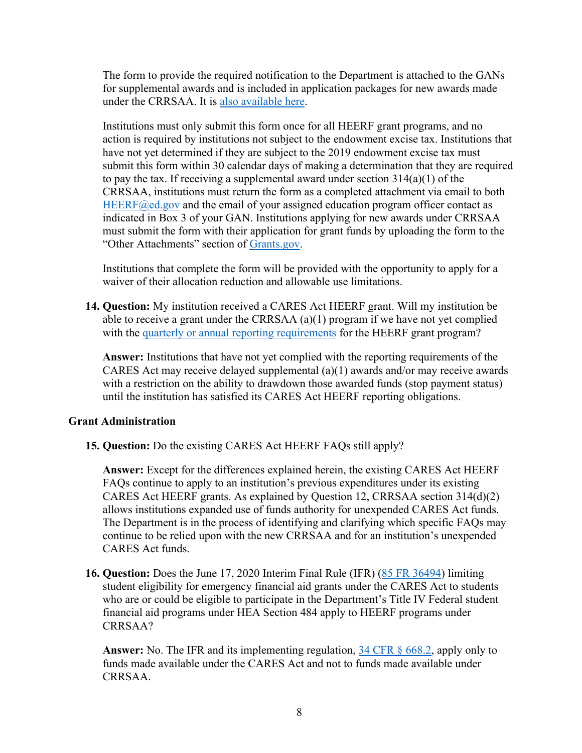The form to provide the required notification to the Department is attached to the GANs for supplemental awards and is included in application packages for new awards made under the CRRSAA. It is [also available here.](https://www2.ed.gov/about/offices/list/ope/heerfiitexcisetaxform.pdf)

Institutions must only submit this form once for all HEERF grant programs, and no action is required by institutions not subject to the endowment excise tax. Institutions that have not yet determined if they are subject to the 2019 endowment excise tax must submit this form within 30 calendar days of making a determination that they are required to pay the tax. If receiving a supplemental award under section 314(a)(1) of the CRRSAA, institutions must return the form as a completed attachment via email to both  $HEERF@ed.gov$  and the email of your assigned education program officer contact as indicated in Box 3 of your GAN. Institutions applying for new awards under CRRSAA must submit the form with their application for grant funds by uploading the form to the "Other Attachments" section of [Grants.gov.](https://www.grants.gov/web/grants/applicants/apply-for-grants.html)

Institutions that complete the form will be provided with the opportunity to apply for a waiver of their allocation reduction and allowable use limitations.

**14. Question:** My institution received a CARES Act HEERF grant. Will my institution be able to receive a grant under the CRRSAA (a)(1) program if we have not yet complied with the [quarterly or annual reporting requirements](https://www2.ed.gov/about/offices/list/ope/heerfreporting.html) for the HEERF grant program?

**Answer:** Institutions that have not yet complied with the reporting requirements of the CARES Act may receive delayed supplemental  $(a)(1)$  awards and/or may receive awards with a restriction on the ability to drawdown those awarded funds (stop payment status) until the institution has satisfied its CARES Act HEERF reporting obligations.

# **Grant Administration**

**15. Question:** Do the existing CARES Act HEERF FAQs still apply?

**Answer:** Except for the differences explained herein, the existing CARES Act HEERF FAQs continue to apply to an institution's previous expenditures under its existing CARES Act HEERF grants. As explained by Question 12, CRRSAA section 314(d)(2) allows institutions expanded use of funds authority for unexpended CARES Act funds. The Department is in the process of identifying and clarifying which specific FAQs may continue to be relied upon with the new CRRSAA and for an institution's unexpended CARES Act funds.

**16. Question:** Does the June 17, 2020 Interim Final Rule (IFR) [\(85 FR 36494\)](https://www.federalregister.gov/d/2020-12965) limiting student eligibility for emergency financial aid grants under the CARES Act to students who are or could be eligible to participate in the Department's Title IV Federal student financial aid programs under HEA Section 484 apply to HEERF programs under CRRSAA?

**Answer:** No. The IFR and its implementing regulation, [34 CFR § 668.2,](https://www.ecfr.gov/cgi-bin/text-idx?SID=53dbf70a52ddbed0a96688dbad93a942&mc=true&node=se34.3.668_12&rgn=div8) apply only to funds made available under the CARES Act and not to funds made available under CRRSAA.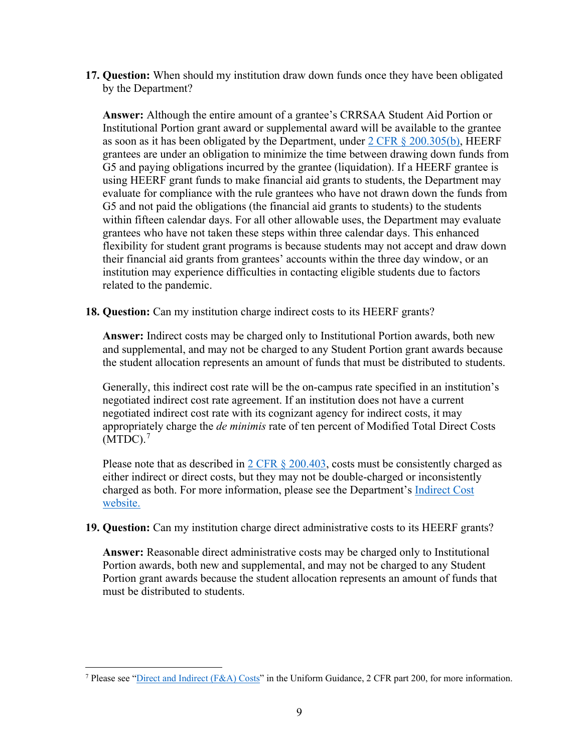**17. Question:** When should my institution draw down funds once they have been obligated by the Department?

**Answer:** Although the entire amount of a grantee's CRRSAA Student Aid Portion or Institutional Portion grant award or supplemental award will be available to the grantee as soon as it has been obligated by the Department, under  $2 \text{ CFR } \S$  200.305(b), HEERF grantees are under an obligation to minimize the time between drawing down funds from G5 and paying obligations incurred by the grantee (liquidation). If a HEERF grantee is using HEERF grant funds to make financial aid grants to students, the Department may evaluate for compliance with the rule grantees who have not drawn down the funds from G5 and not paid the obligations (the financial aid grants to students) to the students within fifteen calendar days. For all other allowable uses, the Department may evaluate grantees who have not taken these steps within three calendar days. This enhanced flexibility for student grant programs is because students may not accept and draw down their financial aid grants from grantees' accounts within the three day window, or an institution may experience difficulties in contacting eligible students due to factors related to the pandemic.

**18. Question:** Can my institution charge indirect costs to its HEERF grants?

**Answer:** Indirect costs may be charged only to Institutional Portion awards, both new and supplemental, and may not be charged to any Student Portion grant awards because the student allocation represents an amount of funds that must be distributed to students.

Generally, this indirect cost rate will be the on-campus rate specified in an institution's negotiated indirect cost rate agreement. If an institution does not have a current negotiated indirect cost rate with its cognizant agency for indirect costs, it may appropriately charge the *de minimis* rate of ten percent of Modified Total Direct Costs  $(MTDC).$ <sup>[7](#page-8-0)</sup>

Please note that as described in  $2 \text{ CFR } \S$  200.403, costs must be consistently charged as either indirect or direct costs, but they may not be double-charged or inconsistently charged as both. For more information, please see the Department's [Indirect Cost](https://www2.ed.gov/about/offices/list/ocfo/fipao/abouticg.html)  [website.](https://www2.ed.gov/about/offices/list/ocfo/fipao/abouticg.html)

**19. Question:** Can my institution charge direct administrative costs to its HEERF grants?

**Answer:** Reasonable direct administrative costs may be charged only to Institutional Portion awards, both new and supplemental, and may not be charged to any Student Portion grant awards because the student allocation represents an amount of funds that must be distributed to students.

<span id="page-8-0"></span><sup>7</sup> Please see ["Direct and Indirect \(F&A\) Costs"](https://www.ecfr.gov/cgi-bin/text-idx?SID=ccef012210186d3fb1d3eda0ac2a3d28&mc=true&node=pt2.1.200&rgn=div5#sg2.1.200_1411.sg11) in the Uniform Guidance, 2 CFR part 200, for more information.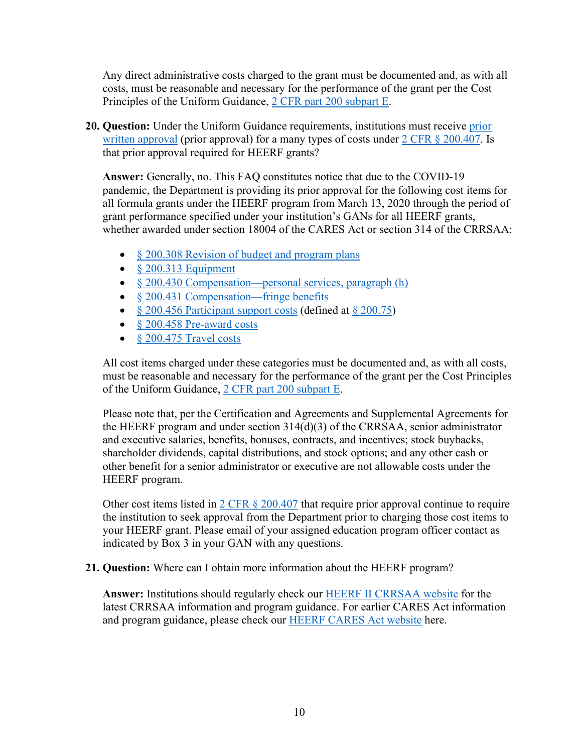Any direct administrative costs charged to the grant must be documented and, as with all costs, must be reasonable and necessary for the performance of the grant per the Cost Principles of the Uniform Guidance, [2 CFR part 200 subpart E.](https://www.ecfr.gov/cgi-bin/text-idx?SID=71ffa6a859b8f0ff42afda72202f4ff0&mc=true&node=sp2.1.200.e&rgn=div6)

**20. Question:** Under the Uniform Guidance requirements, institutions must receive [prior](https://www.ecfr.gov/cgi-bin/text-idx?SID=ccef012210186d3fb1d3eda0ac2a3d28&mc=true&node=pt2.1.200&rgn=div5#se2.1.200_1407)  [written approval](https://www.ecfr.gov/cgi-bin/text-idx?SID=ccef012210186d3fb1d3eda0ac2a3d28&mc=true&node=pt2.1.200&rgn=div5#se2.1.200_1407) (prior approval) for a many types of costs under [2 CFR § 200.407.](https://www.ecfr.gov/cgi-bin/text-idx?SID=9ec46e02d34effe7b61fcadf478c4e82&mc=true&node=se2.1.200_1407&rgn=div8) Is that prior approval required for HEERF grants?

**Answer:** Generally, no. This FAQ constitutes notice that due to the COVID-19 pandemic, the Department is providing its prior approval for the following cost items for all formula grants under the HEERF program from March 13, 2020 through the period of grant performance specified under your institution's GANs for all HEERF grants, whether awarded under section 18004 of the CARES Act or section 314 of the CRRSAA:

- $\&$  [200.308 Revision of budget and program plans](https://www.ecfr.gov/cgi-bin/text-idx?SID=a86eb1723a0a2c65d643b0ca6207c7ea&mc=true&node=se2.1.200_1308&rgn=div8)
- $$200.313$  Equipment
- § [200.430 Compensation—personal services, paragraph \(h\)](https://www.ecfr.gov/cgi-bin/text-idx?SID=a86eb1723a0a2c65d643b0ca6207c7ea&mc=true&node=se2.1.200_1430&rgn=div8)
- § [200.431 Compensation—fringe benefits](https://www.ecfr.gov/cgi-bin/text-idx?SID=a86eb1723a0a2c65d643b0ca6207c7ea&mc=true&node=se2.1.200_1431&rgn=div8)
- § [200.456 Participant support costs](https://www.ecfr.gov/cgi-bin/text-idx?SID=a86eb1723a0a2c65d643b0ca6207c7ea&mc=true&node=se2.1.200_1456&rgn=div8) (defined at [§ 200.75\)](https://www.ecfr.gov/cgi-bin/text-idx?SID=a86eb1723a0a2c65d643b0ca6207c7ea&mc=true&node=se2.1.200_175&rgn=div8)
- [§ 200.458 Pre-award costs](https://www.ecfr.gov/cgi-bin/text-idx?SID=a86eb1723a0a2c65d643b0ca6207c7ea&mc=true&node=se2.1.200_1458&rgn=div8)
- [§ 200.475 Travel costs](https://www.ecfr.gov/cgi-bin/text-idx?SID=a86eb1723a0a2c65d643b0ca6207c7ea&mc=true&node=se2.1.200_1475&rgn=div8)

All cost items charged under these categories must be documented and, as with all costs, must be reasonable and necessary for the performance of the grant per the Cost Principles of the Uniform Guidance, [2 CFR part 200 subpart E.](https://www.ecfr.gov/cgi-bin/text-idx?SID=71ffa6a859b8f0ff42afda72202f4ff0&mc=true&node=sp2.1.200.e&rgn=div6)

Please note that, per the Certification and Agreements and Supplemental Agreements for the HEERF program and under section 314(d)(3) of the CRRSAA, senior administrator and executive salaries, benefits, bonuses, contracts, and incentives; stock buybacks, shareholder dividends, capital distributions, and stock options; and any other cash or other benefit for a senior administrator or executive are not allowable costs under the HEERF program.

Other cost items listed in 2 CFR  $\S 200.407$  that require prior approval continue to require the institution to seek approval from the Department prior to charging those cost items to your HEERF grant. Please email of your assigned education program officer contact as indicated by Box 3 in your GAN with any questions.

**21. Question:** Where can I obtain more information about the HEERF program?

**Answer:** Institutions should regularly check our [HEERF II](https://www2.ed.gov/about/offices/list/ope/crrsaa.html) CRRSAA website for the latest CRRSAA information and program guidance. For earlier CARES Act information and program guidance, please check our **HEERF CARES** Act website here.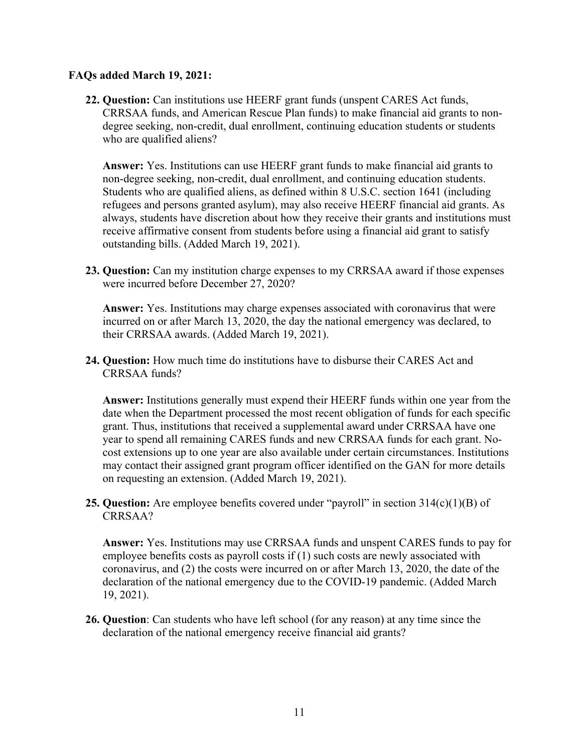### **FAQs added March 19, 2021:**

**22. Question:** Can institutions use HEERF grant funds (unspent CARES Act funds, CRRSAA funds, and American Rescue Plan funds) to make financial aid grants to nondegree seeking, non-credit, dual enrollment, continuing education students or students who are qualified aliens?

**Answer:** Yes. Institutions can use HEERF grant funds to make financial aid grants to non-degree seeking, non-credit, dual enrollment, and continuing education students. Students who are qualified aliens, as defined within 8 U.S.C. section 1641 (including refugees and persons granted asylum), may also receive HEERF financial aid grants. As always, students have discretion about how they receive their grants and institutions must receive affirmative consent from students before using a financial aid grant to satisfy outstanding bills. (Added March 19, 2021).

**23. Question:** Can my institution charge expenses to my CRRSAA award if those expenses were incurred before December 27, 2020?

**Answer:** Yes. Institutions may charge expenses associated with coronavirus that were incurred on or after March 13, 2020, the day the national emergency was declared, to their CRRSAA awards. (Added March 19, 2021).

**24. Question:** How much time do institutions have to disburse their CARES Act and CRRSAA funds?

**Answer:** Institutions generally must expend their HEERF funds within one year from the date when the Department processed the most recent obligation of funds for each specific grant. Thus, institutions that received a supplemental award under CRRSAA have one year to spend all remaining CARES funds and new CRRSAA funds for each grant. Nocost extensions up to one year are also available under certain circumstances. Institutions may contact their assigned grant program officer identified on the GAN for more details on requesting an extension. (Added March 19, 2021).

**25. Question:** Are employee benefits covered under "payroll" in section 314(c)(1)(B) of CRRSAA?

**Answer:** Yes. Institutions may use CRRSAA funds and unspent CARES funds to pay for employee benefits costs as payroll costs if (1) such costs are newly associated with coronavirus, and (2) the costs were incurred on or after March 13, 2020, the date of the declaration of the national emergency due to the COVID-19 pandemic. (Added March 19, 2021).

**26. Question**: Can students who have left school (for any reason) at any time since the declaration of the national emergency receive financial aid grants?